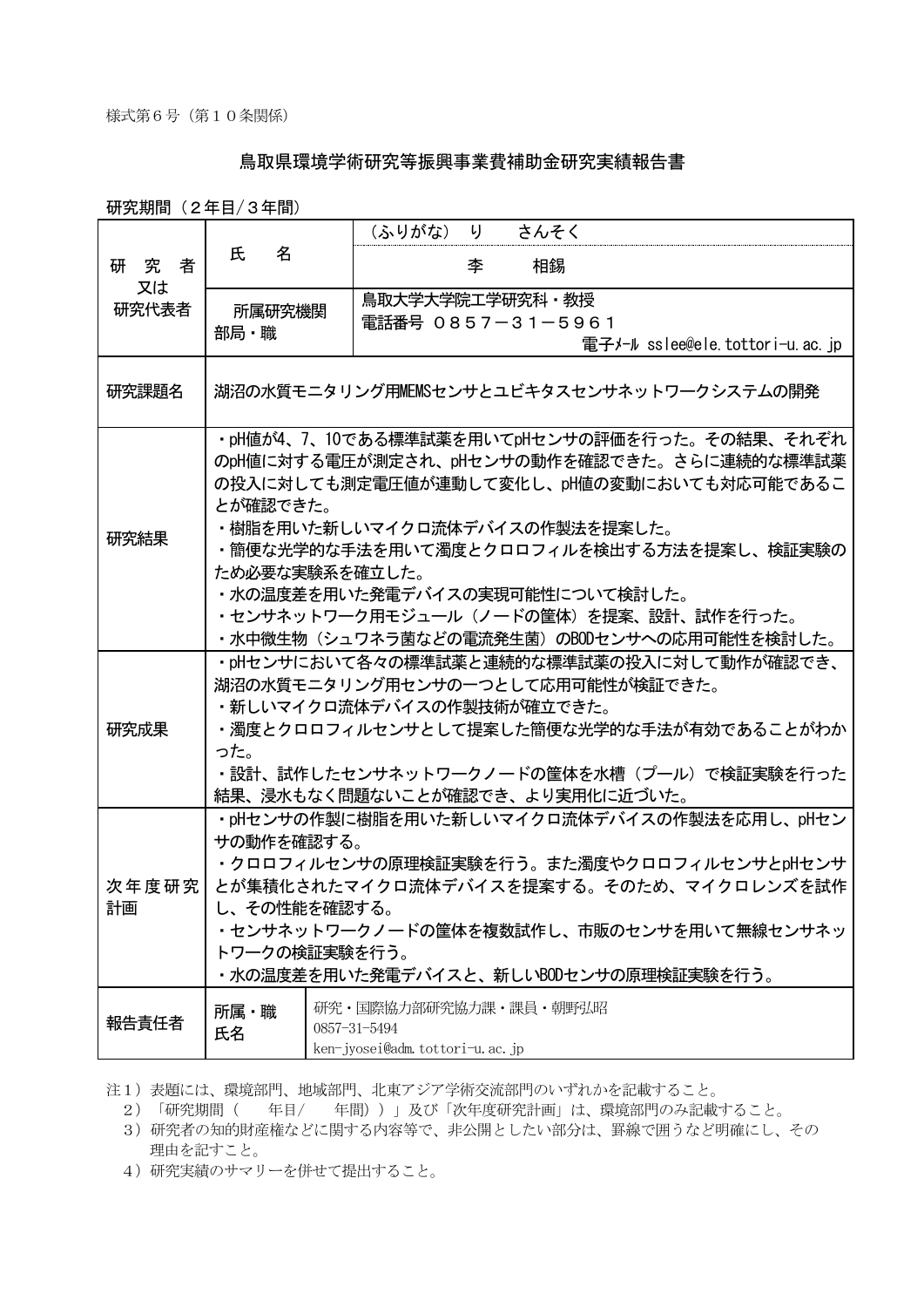## 鳥取県環境学術研究等振興事業費補助金研究実績報告書

研究期間(2年目/3年間)

| 氏<br>名<br>研究者<br>相錫<br>李<br>又は<br>鳥取大学大学院工学研究科・教授<br>研究代表者<br>所属研究機関<br>電話番号 0857-31-5961<br>部局・職<br>電子メール sslee@ele.tottori-u.ac.jp<br>研究課題名<br>湖沼の水質モニタリング用MEMSセンサとユビキタスセンサネットワークシステムの開発<br>・pH値が4、7、10である標準試薬を用いてpHセンサの評価を行った。その結果、それぞれ<br>のpH値に対する電圧が測定され、pHセンサの動作を確認できた。さらに連続的な標準試薬<br>の投入に対しても測定電圧値が連動して変化し、pH値の変動においても対応可能であるこ<br>とが確認できた。<br>・樹脂を用いた新しいマイクロ流体デバイスの作製法を提案した。<br>研究結果<br>・簡便な光学的な手法を用いて濁度とクロロフィルを検出する方法を提案し、検証実験の<br>ため必要な実験系を確立した。<br>・水の温度差を用いた発電デバイスの実現可能性について検討した。<br>・センサネットワーク用モジュール(ノードの筐体)を提案、設計、試作を行った。<br>・水中微生物(シュワネラ菌などの電流発生菌)のBODセンサへの応用可能性を検討した。<br>・pHセンサにおいて各々の標準試薬と連続的な標準試薬の投入に対して動作が確認でき、<br>湖沼の水質モニタリング用センサの一つとして応用可能性が検証できた。<br>・新しいマイクロ流体デバイスの作製技術が確立できた。<br>・濁度とクロロフィルセンサとして提案した簡便な光学的な手法が有効であることがわか<br>研究成果<br>った。<br>・設計、試作したセンサネットワークノードの筐体を水槽(プール)で検証実験を行った<br>結果、浸水もなく問題ないことが確認でき、より実用化に近づいた。<br>・pHセンサの作製に樹脂を用いた新しいマイクロ流体デバイスの作製法を応用し、pHセン<br>サの動作を確認する。<br>・クロロフィルセンサの原理検証実験を行う。また濁度やクロロフィルセンサとpHセンサ<br>とが集積化されたマイクロ流体デバイスを提案する。そのため、マイクロレンズを試作<br>次年度研究 |       |                                          | (ふりがな)<br>さんそく<br>U) |  |
|-------------------------------------------------------------------------------------------------------------------------------------------------------------------------------------------------------------------------------------------------------------------------------------------------------------------------------------------------------------------------------------------------------------------------------------------------------------------------------------------------------------------------------------------------------------------------------------------------------------------------------------------------------------------------------------------------------------------------------------------------------------------------------------------------------------------------------------------------------------------------------------------------------------------------------------------------------------------------------------------------------------|-------|------------------------------------------|----------------------|--|
|                                                                                                                                                                                                                                                                                                                                                                                                                                                                                                                                                                                                                                                                                                                                                                                                                                                                                                                                                                                                             |       |                                          |                      |  |
|                                                                                                                                                                                                                                                                                                                                                                                                                                                                                                                                                                                                                                                                                                                                                                                                                                                                                                                                                                                                             |       |                                          |                      |  |
|                                                                                                                                                                                                                                                                                                                                                                                                                                                                                                                                                                                                                                                                                                                                                                                                                                                                                                                                                                                                             |       |                                          |                      |  |
|                                                                                                                                                                                                                                                                                                                                                                                                                                                                                                                                                                                                                                                                                                                                                                                                                                                                                                                                                                                                             |       |                                          |                      |  |
|                                                                                                                                                                                                                                                                                                                                                                                                                                                                                                                                                                                                                                                                                                                                                                                                                                                                                                                                                                                                             |       |                                          |                      |  |
|                                                                                                                                                                                                                                                                                                                                                                                                                                                                                                                                                                                                                                                                                                                                                                                                                                                                                                                                                                                                             |       |                                          |                      |  |
|                                                                                                                                                                                                                                                                                                                                                                                                                                                                                                                                                                                                                                                                                                                                                                                                                                                                                                                                                                                                             |       |                                          |                      |  |
|                                                                                                                                                                                                                                                                                                                                                                                                                                                                                                                                                                                                                                                                                                                                                                                                                                                                                                                                                                                                             |       |                                          |                      |  |
|                                                                                                                                                                                                                                                                                                                                                                                                                                                                                                                                                                                                                                                                                                                                                                                                                                                                                                                                                                                                             |       |                                          |                      |  |
|                                                                                                                                                                                                                                                                                                                                                                                                                                                                                                                                                                                                                                                                                                                                                                                                                                                                                                                                                                                                             |       |                                          |                      |  |
|                                                                                                                                                                                                                                                                                                                                                                                                                                                                                                                                                                                                                                                                                                                                                                                                                                                                                                                                                                                                             |       |                                          |                      |  |
|                                                                                                                                                                                                                                                                                                                                                                                                                                                                                                                                                                                                                                                                                                                                                                                                                                                                                                                                                                                                             |       |                                          |                      |  |
|                                                                                                                                                                                                                                                                                                                                                                                                                                                                                                                                                                                                                                                                                                                                                                                                                                                                                                                                                                                                             |       |                                          |                      |  |
|                                                                                                                                                                                                                                                                                                                                                                                                                                                                                                                                                                                                                                                                                                                                                                                                                                                                                                                                                                                                             |       |                                          |                      |  |
|                                                                                                                                                                                                                                                                                                                                                                                                                                                                                                                                                                                                                                                                                                                                                                                                                                                                                                                                                                                                             |       |                                          |                      |  |
|                                                                                                                                                                                                                                                                                                                                                                                                                                                                                                                                                                                                                                                                                                                                                                                                                                                                                                                                                                                                             |       |                                          |                      |  |
|                                                                                                                                                                                                                                                                                                                                                                                                                                                                                                                                                                                                                                                                                                                                                                                                                                                                                                                                                                                                             |       |                                          |                      |  |
|                                                                                                                                                                                                                                                                                                                                                                                                                                                                                                                                                                                                                                                                                                                                                                                                                                                                                                                                                                                                             |       |                                          |                      |  |
|                                                                                                                                                                                                                                                                                                                                                                                                                                                                                                                                                                                                                                                                                                                                                                                                                                                                                                                                                                                                             | 計画    |                                          |                      |  |
|                                                                                                                                                                                                                                                                                                                                                                                                                                                                                                                                                                                                                                                                                                                                                                                                                                                                                                                                                                                                             |       |                                          |                      |  |
|                                                                                                                                                                                                                                                                                                                                                                                                                                                                                                                                                                                                                                                                                                                                                                                                                                                                                                                                                                                                             |       |                                          |                      |  |
|                                                                                                                                                                                                                                                                                                                                                                                                                                                                                                                                                                                                                                                                                                                                                                                                                                                                                                                                                                                                             |       |                                          |                      |  |
| し、その性能を確認する。                                                                                                                                                                                                                                                                                                                                                                                                                                                                                                                                                                                                                                                                                                                                                                                                                                                                                                                                                                                                |       | ・センサネットワークノードの筐体を複数試作し、市販のセンサを用いて無線センサネッ |                      |  |
|                                                                                                                                                                                                                                                                                                                                                                                                                                                                                                                                                                                                                                                                                                                                                                                                                                                                                                                                                                                                             |       | トワークの検証実験を行う。                            |                      |  |
|                                                                                                                                                                                                                                                                                                                                                                                                                                                                                                                                                                                                                                                                                                                                                                                                                                                                                                                                                                                                             |       | ・水の温度差を用いた発電デバイスと、新しいBODセンサの原理検証実験を行う。   |                      |  |
|                                                                                                                                                                                                                                                                                                                                                                                                                                                                                                                                                                                                                                                                                                                                                                                                                                                                                                                                                                                                             | 報告責任者 |                                          |                      |  |
| 研究・国際協力部研究協力課・課員・朝野弘昭<br>所属・職<br>0857-31-5494                                                                                                                                                                                                                                                                                                                                                                                                                                                                                                                                                                                                                                                                                                                                                                                                                                                                                                                                                               |       | 氏名                                       |                      |  |
| ken-jyosei@adm.tottori-u.ac.jp                                                                                                                                                                                                                                                                                                                                                                                                                                                                                                                                                                                                                                                                                                                                                                                                                                                                                                                                                                              |       |                                          |                      |  |

注1)表題には、環境部門、地域部門、北東アジア学術交流部門のいずれかを記載すること。

- 2)「研究期間( 年目/ 年間))」及び「次年度研究計画」は、環境部門のみ記載すること。
- 3)研究者の知的財産権などに関する内容等で、非公開としたい部分は、罫線で囲うなど明確にし、その 理由を記すこと。
- 4)研究実績のサマリーを併せて提出すること。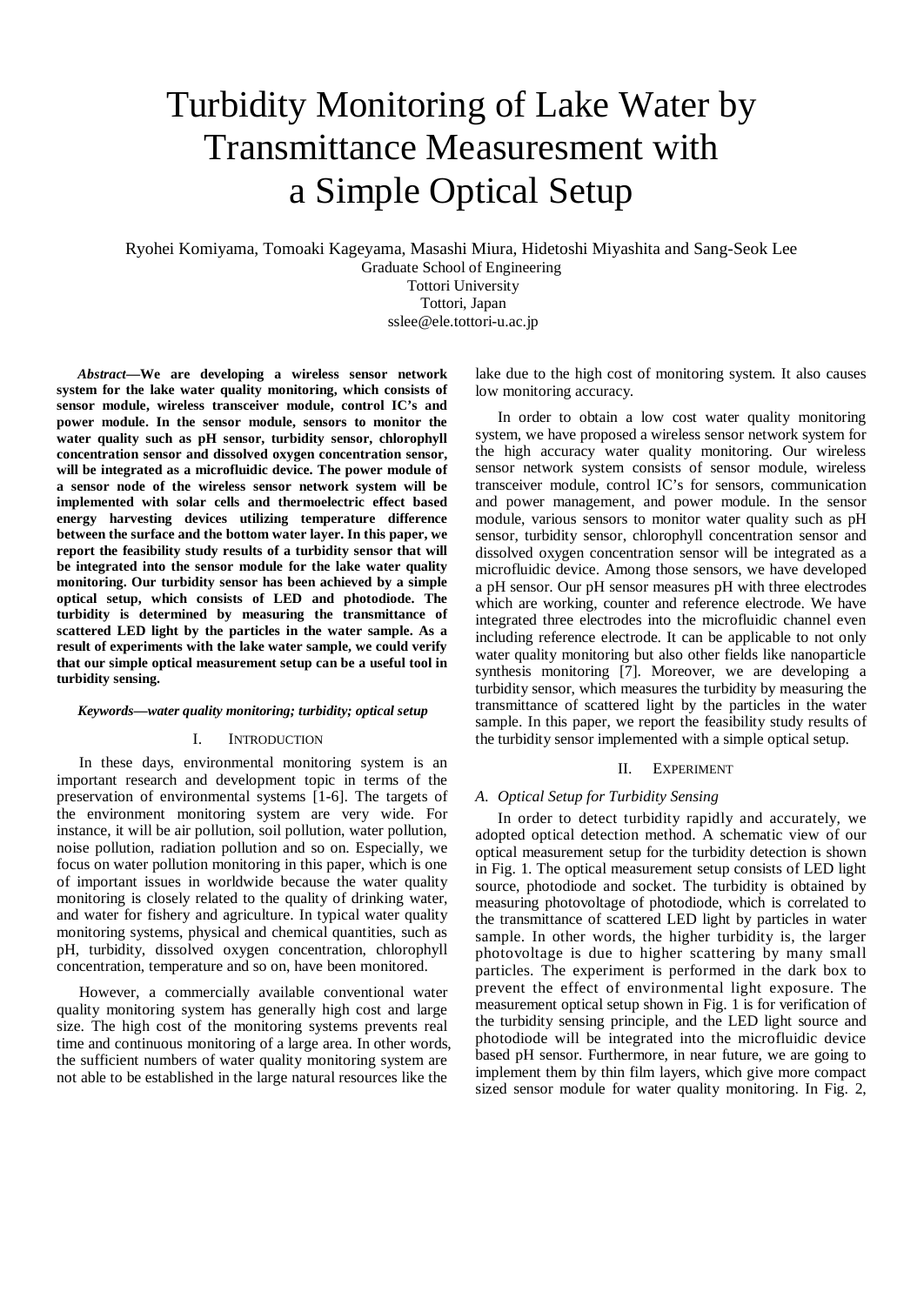# Turbidity Monitoring of Lake Water by Transmittance Measuresment with a Simple Optical Setup

Ryohei Komiyama, Tomoaki Kageyama, Masashi Miura, Hidetoshi Miyashita and Sang-Seok Lee Graduate School of Engineering

Tottori University Tottori, Japan sslee@ele.tottori-u.ac.jp

*Abstract***—We are developing a wireless sensor network system for the lake water quality monitoring, which consists of sensor module, wireless transceiver module, control IC's and power module. In the sensor module, sensors to monitor the water quality such as pH sensor, turbidity sensor, chlorophyll concentration sensor and dissolved oxygen concentration sensor, will be integrated as a microfluidic device. The power module of a sensor node of the wireless sensor network system will be implemented with solar cells and thermoelectric effect based energy harvesting devices utilizing temperature difference between the surface and the bottom water layer. In this paper, we report the feasibility study results of a turbidity sensor that will be integrated into the sensor module for the lake water quality monitoring. Our turbidity sensor has been achieved by a simple optical setup, which consists of LED and photodiode. The turbidity is determined by measuring the transmittance of scattered LED light by the particles in the water sample. As a result of experiments with the lake water sample, we could verify that our simple optical measurement setup can be a useful tool in turbidity sensing.**

### *Keywords—water quality monitoring; turbidity; optical setup*

#### I. INTRODUCTION

In these days, environmental monitoring system is an important research and development topic in terms of the preservation of environmental systems [1-6]. The targets of the environment monitoring system are very wide. For instance, it will be air pollution, soil pollution, water pollution, noise pollution, radiation pollution and so on. Especially, we focus on water pollution monitoring in this paper, which is one of important issues in worldwide because the water quality monitoring is closely related to the quality of drinking water, and water for fishery and agriculture. In typical water quality monitoring systems, physical and chemical quantities, such as pH, turbidity, dissolved oxygen concentration, chlorophyll concentration, temperature and so on, have been monitored.

However, a commercially available conventional water quality monitoring system has generally high cost and large size. The high cost of the monitoring systems prevents real time and continuous monitoring of a large area. In other words, the sufficient numbers of water quality monitoring system are not able to be established in the large natural resources like the

lake due to the high cost of monitoring system. It also causes low monitoring accuracy.

In order to obtain a low cost water quality monitoring system, we have proposed a wireless sensor network system for the high accuracy water quality monitoring. Our wireless sensor network system consists of sensor module, wireless transceiver module, control IC's for sensors, communication and power management, and power module. In the sensor module, various sensors to monitor water quality such as pH sensor, turbidity sensor, chlorophyll concentration sensor and dissolved oxygen concentration sensor will be integrated as a microfluidic device. Among those sensors, we have developed a pH sensor. Our pH sensor measures pH with three electrodes which are working, counter and reference electrode. We have integrated three electrodes into the microfluidic channel even including reference electrode. It can be applicable to not only water quality monitoring but also other fields like nanoparticle synthesis monitoring [7]. Moreover, we are developing a turbidity sensor, which measures the turbidity by measuring the transmittance of scattered light by the particles in the water sample. In this paper, we report the feasibility study results of the turbidity sensor implemented with a simple optical setup.

#### II. EXPERIMENT

#### *A. Optical Setup for Turbidity Sensing*

In order to detect turbidity rapidly and accurately, we adopted optical detection method. A schematic view of our optical measurement setup for the turbidity detection is shown in Fig. 1. The optical measurement setup consists of LED light source, photodiode and socket. The turbidity is obtained by measuring photovoltage of photodiode, which is correlated to the transmittance of scattered LED light by particles in water sample. In other words, the higher turbidity is, the larger photovoltage is due to higher scattering by many small particles. The experiment is performed in the dark box to prevent the effect of environmental light exposure. The measurement optical setup shown in Fig. 1 is for verification of the turbidity sensing principle, and the LED light source and photodiode will be integrated into the microfluidic device based pH sensor. Furthermore, in near future, we are going to implement them by thin film layers, which give more compact sized sensor module for water quality monitoring. In Fig. 2,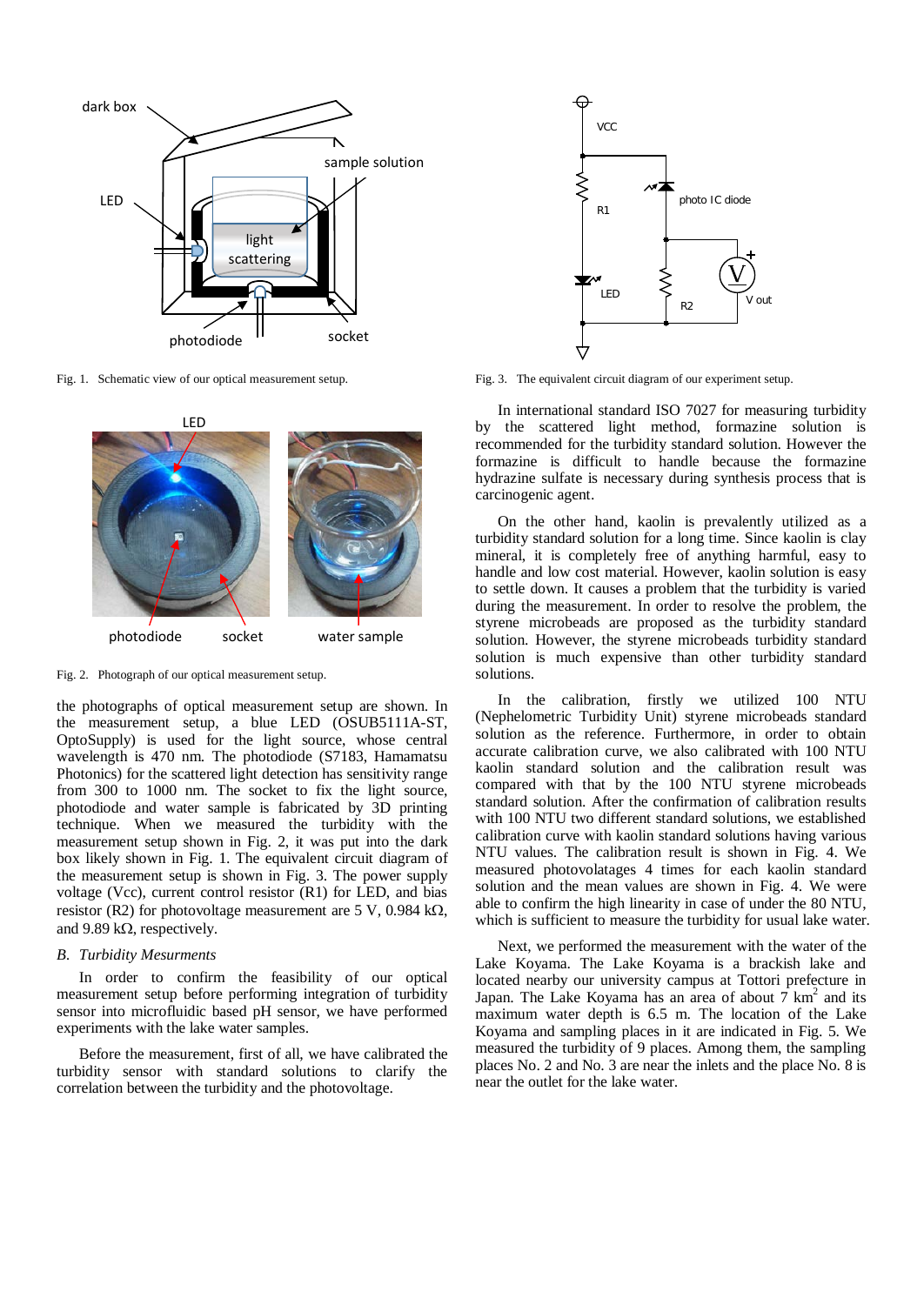

Fig. 1. Schematic view of our optical measurement setup.



Fig. 2. Photograph of our optical measurement setup.

the photographs of optical measurement setup are shown. In the measurement setup, a blue LED (OSUB5111A-ST, OptoSupply) is used for the light source, whose central wavelength is 470 nm. The photodiode (S7183, Hamamatsu Photonics) for the scattered light detection has sensitivity range from 300 to 1000 nm. The socket to fix the light source, photodiode and water sample is fabricated by 3D printing technique. When we measured the turbidity with the measurement setup shown in Fig. 2, it was put into the dark box likely shown in Fig. 1. The equivalent circuit diagram of the measurement setup is shown in Fig. 3. The power supply voltage (Vcc), current control resistor (R1) for LED, and bias resistor (R2) for photovoltage measurement are 5 V, 0.984 kΩ, and 9.89 k $\Omega$ , respectively.

#### *B. Turbidity Mesurments*

In order to confirm the feasibility of our optical measurement setup before performing integration of turbidity sensor into microfluidic based pH sensor, we have performed experiments with the lake water samples.

Before the measurement, first of all, we have calibrated the turbidity sensor with standard solutions to clarify the correlation between the turbidity and the photovoltage.



Fig. 3. The equivalent circuit diagram of our experiment setup.

In international standard ISO 7027 for measuring turbidity by the scattered light method, formazine solution is recommended for the turbidity standard solution. However the formazine is difficult to handle because the formazine hydrazine sulfate is necessary during synthesis process that is carcinogenic agent.

On the other hand, kaolin is prevalently utilized as a turbidity standard solution for a long time. Since kaolin is clay mineral, it is completely free of anything harmful, easy to handle and low cost material. However, kaolin solution is easy to settle down. It causes a problem that the turbidity is varied during the measurement. In order to resolve the problem, the styrene microbeads are proposed as the turbidity standard solution. However, the styrene microbeads turbidity standard solution is much expensive than other turbidity standard solutions.

In the calibration, firstly we utilized 100 NTU (Nephelometric Turbidity Unit) styrene microbeads standard solution as the reference. Furthermore, in order to obtain accurate calibration curve, we also calibrated with 100 NTU kaolin standard solution and the calibration result was compared with that by the 100 NTU styrene microbeads standard solution. After the confirmation of calibration results with 100 NTU two different standard solutions, we established calibration curve with kaolin standard solutions having various NTU values. The calibration result is shown in Fig. 4. We measured photovolatages 4 times for each kaolin standard solution and the mean values are shown in Fig. 4. We were able to confirm the high linearity in case of under the 80 NTU, which is sufficient to measure the turbidity for usual lake water.

Next, we performed the measurement with the water of the Lake Koyama. The Lake Koyama is a brackish lake and located nearby our university campus at Tottori prefecture in Japan. The Lake Koyama has an area of about  $7 \text{ km}^2$  and its maximum water depth is 6.5 m. The location of the Lake Koyama and sampling places in it are indicated in Fig. 5. We measured the turbidity of 9 places. Among them, the sampling places No. 2 and No. 3 are near the inlets and the place No. 8 is near the outlet for the lake water.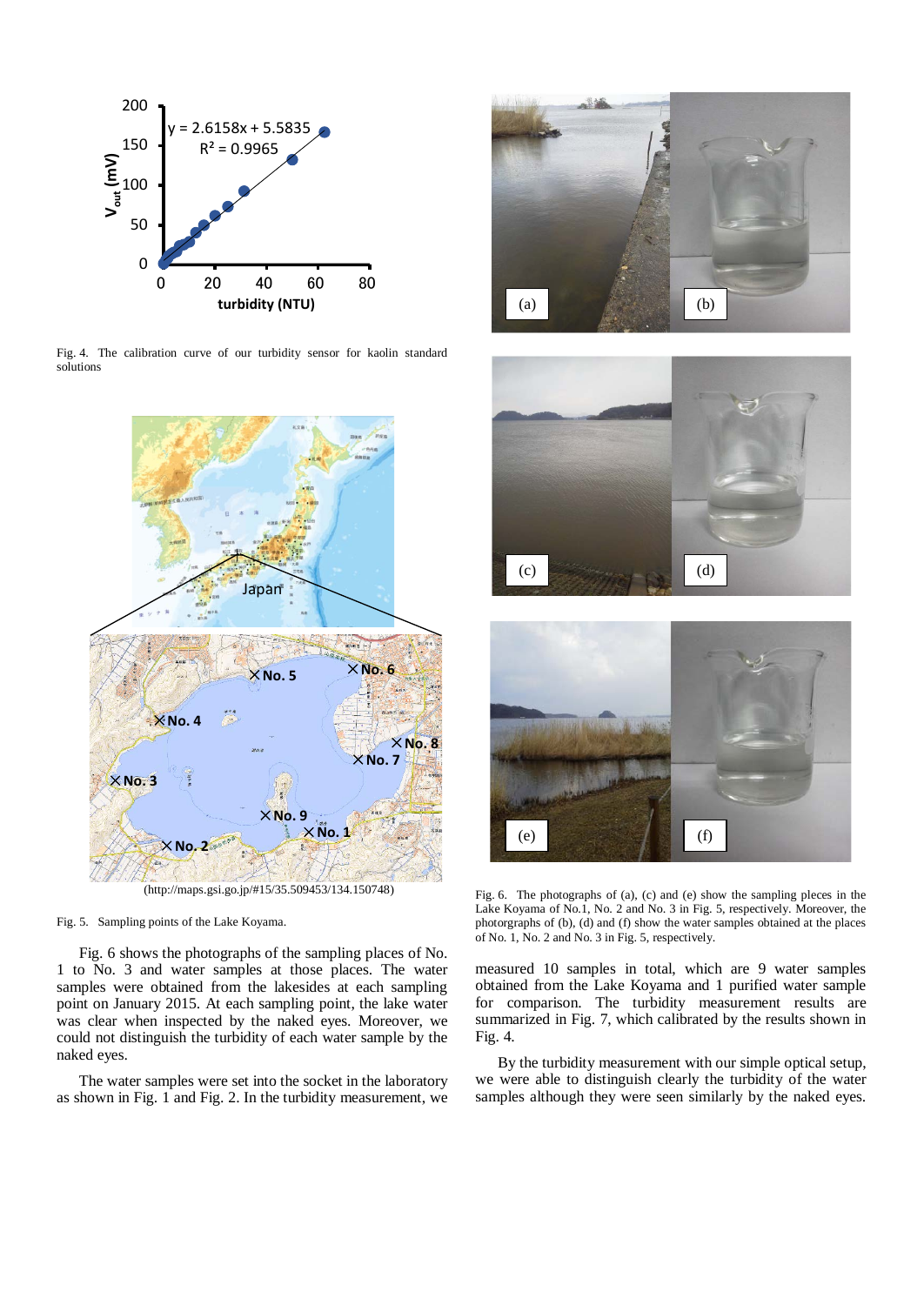

Fig. 4. The calibration curve of our turbidity sensor for kaolin standard solutions



(http://maps.gsi.go.jp/#15/35.509453/134.150748)

Fig. 5. Sampling points of the Lake Koyama.

Fig. 6 shows the photographs of the sampling places of No. 1 to No. 3 and water samples at those places. The water samples were obtained from the lakesides at each sampling point on January 2015. At each sampling point, the lake water was clear when inspected by the naked eyes. Moreover, we could not distinguish the turbidity of each water sample by the naked eyes.

The water samples were set into the socket in the laboratory as shown in Fig. 1 and Fig. 2. In the turbidity measurement, we







Fig. 6. The photographs of (a), (c) and (e) show the sampling pleces in the Lake Koyama of No.1, No. 2 and No. 3 in Fig. 5, respectively. Moreover, the photorgraphs of (b), (d) and (f) show the water samples obtained at the places of No. 1, No. 2 and No. 3 in Fig. 5, respectively.

measured 10 samples in total, which are 9 water samples obtained from the Lake Koyama and 1 purified water sample for comparison. The turbidity measurement results are summarized in Fig. 7, which calibrated by the results shown in Fig. 4.

By the turbidity measurement with our simple optical setup, we were able to distinguish clearly the turbidity of the water samples although they were seen similarly by the naked eyes.